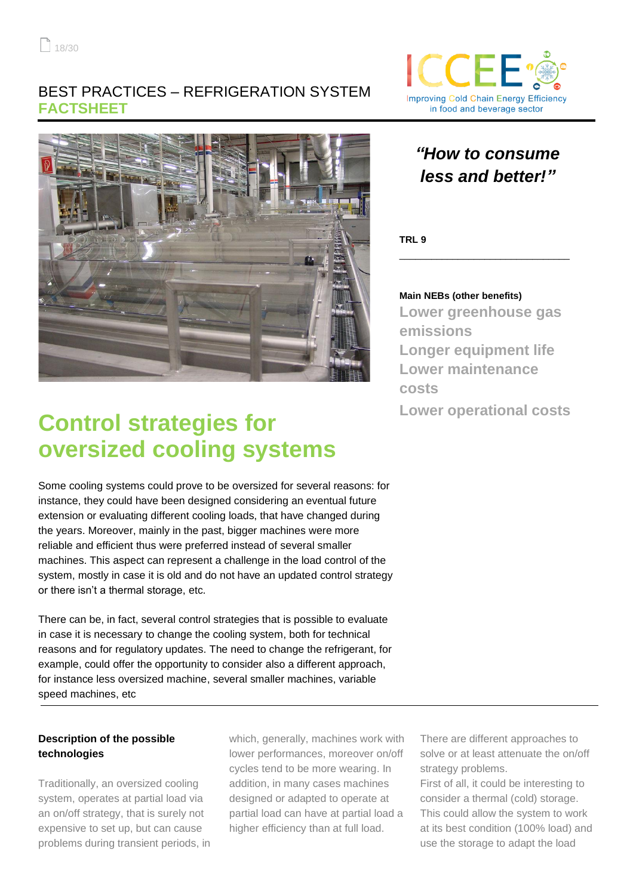

# **Control strategies for oversized cooling systems**

Some cooling systems could prove to be oversized for several reasons: for instance, they could have been designed considering an eventual future extension or evaluating different cooling loads, that have changed during the years. Moreover, mainly in the past, bigger machines were more reliable and efficient thus were preferred instead of several smaller machines. This aspect can represent a challenge in the load control of the system, mostly in case it is old and do not have an updated control strategy or there isn't a thermal storage, etc.

There can be, in fact, several control strategies that is possible to evaluate in case it is necessary to change the cooling system, both for technical reasons and for regulatory updates. The need to change the refrigerant, for example, could offer the opportunity to consider also a different approach, for instance less oversized machine, several smaller machines, variable speed machines, etc

### **Description of the possible technologies**

Traditionally, an oversized cooling system, operates at partial load via an on/off strategy, that is surely not expensive to set up, but can cause problems during transient periods, in which, generally, machines work with lower performances, moreover on/off cycles tend to be more wearing. In addition, in many cases machines designed or adapted to operate at partial load can have at partial load a higher efficiency than at full load.

There are different approaches to solve or at least attenuate the on/off strategy problems.

First of all, it could be interesting to consider a thermal (cold) storage. This could allow the system to work at its best condition (100% load) and use the storage to adapt the load

## *"How to consume less and better!"*

**TRL 9**

**Main NEBs (other benefits) Lower greenhouse gas emissions Longer equipment life Lower maintenance costs Lower operational costs**

\_\_\_\_\_\_\_\_\_\_\_\_\_\_\_\_\_\_\_\_\_\_\_\_\_\_\_\_\_\_\_\_

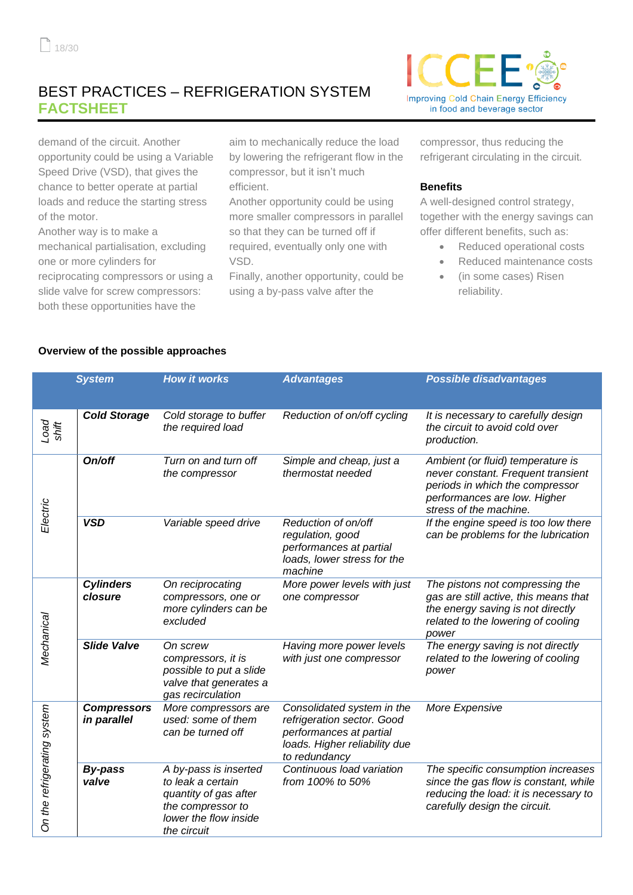

demand of the circuit. Another opportunity could be using a Variable Speed Drive (VSD), that gives the chance to better operate at partial loads and reduce the starting stress of the motor.

Another way is to make a mechanical partialisation, excluding one or more cylinders for reciprocating compressors or using a slide valve for screw compressors: both these opportunities have the

aim to mechanically reduce the load by lowering the refrigerant flow in the compressor, but it isn't much efficient.

Another opportunity could be using more smaller compressors in parallel so that they can be turned off if required, eventually only one with VSD.

Finally, another opportunity, could be using a by-pass valve after the

compressor, thus reducing the refrigerant circulating in the circuit.

#### **Benefits**

A well-designed control strategy, together with the energy savings can offer different benefits, such as:

- Reduced operational costs
- Reduced maintenance costs
	- (in some cases) Risen reliability.

#### **Overview of the possible approaches**

| <b>System</b>               |                                   | <b>How it works</b>                                                                                                              | <b>Advantages</b>                                                                                                                     | <b>Possible disadvantages</b>                                                                                                                                        |
|-----------------------------|-----------------------------------|----------------------------------------------------------------------------------------------------------------------------------|---------------------------------------------------------------------------------------------------------------------------------------|----------------------------------------------------------------------------------------------------------------------------------------------------------------------|
| shift<br>Shift              | <b>Cold Storage</b>               | Cold storage to buffer<br>the required load                                                                                      | Reduction of on/off cycling                                                                                                           | It is necessary to carefully design<br>the circuit to avoid cold over<br>production.                                                                                 |
| Electric                    | On/off                            | Turn on and turn off<br>the compressor                                                                                           | Simple and cheap, just a<br>thermostat needed                                                                                         | Ambient (or fluid) temperature is<br>never constant. Frequent transient<br>periods in which the compressor<br>performances are low. Higher<br>stress of the machine. |
|                             | <b>VSD</b>                        | Variable speed drive                                                                                                             | Reduction of on/off<br>regulation, good<br>performances at partial<br>loads, lower stress for the<br>machine                          | If the engine speed is too low there<br>can be problems for the lubrication                                                                                          |
| Mechanical                  | <b>Cylinders</b><br>closure       | On reciprocating<br>compressors, one or<br>more cylinders can be<br>excluded                                                     | More power levels with just<br>one compressor                                                                                         | The pistons not compressing the<br>gas are still active, this means that<br>the energy saving is not directly<br>related to the lowering of cooling<br>power         |
|                             | <b>Slide Valve</b>                | On screw<br>compressors, it is<br>possible to put a slide<br>valve that generates a<br>gas recirculation                         | Having more power levels<br>with just one compressor                                                                                  | The energy saving is not directly<br>related to the lowering of cooling<br>power                                                                                     |
| On the refrigerating system | <b>Compressors</b><br>in parallel | More compressors are<br>used: some of them<br>can be turned off                                                                  | Consolidated system in the<br>refrigeration sector. Good<br>performances at partial<br>loads. Higher reliability due<br>to redundancy | More Expensive                                                                                                                                                       |
|                             | By-pass<br>valve                  | A by-pass is inserted<br>to leak a certain<br>quantity of gas after<br>the compressor to<br>lower the flow inside<br>the circuit | Continuous load variation<br>from 100% to 50%                                                                                         | The specific consumption increases<br>since the gas flow is constant, while<br>reducing the load: it is necessary to<br>carefully design the circuit.                |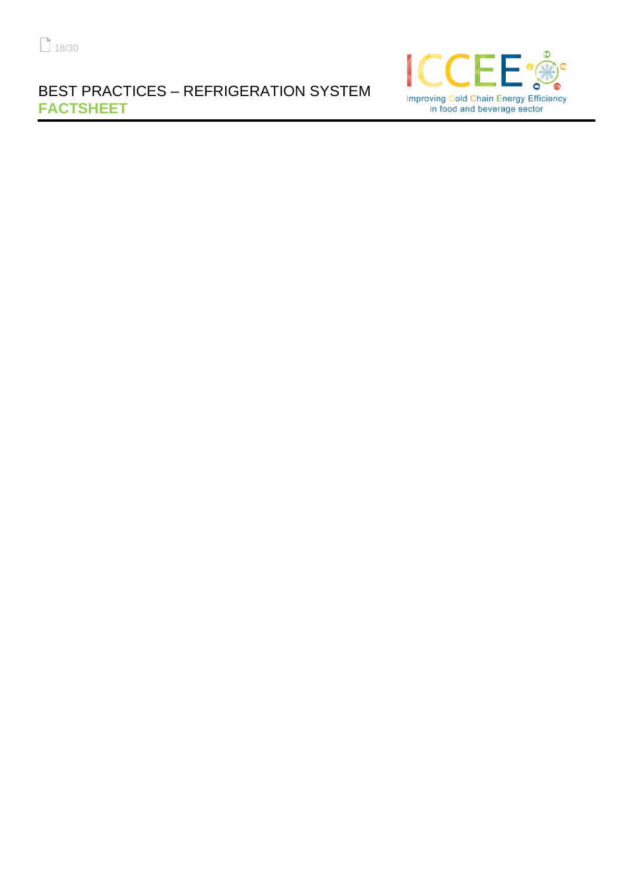